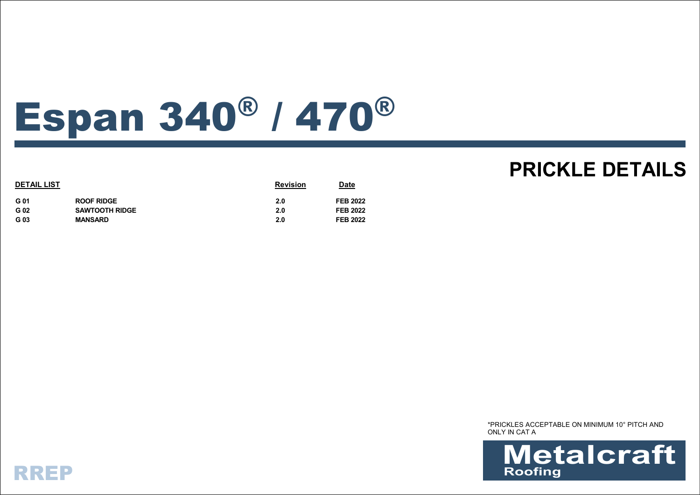## Espan 340® / 470®

| <b>DETAIL LIST</b> |                       | <b>Revision</b> | <u>Date</u>     |
|--------------------|-----------------------|-----------------|-----------------|
| G 01               | <b>ROOF RIDGE</b>     | 2.0             | <b>FEB 2022</b> |
| G 02               | <b>SAWTOOTH RIDGE</b> | 2.0             | <b>FEB 2022</b> |
| G 03               | <b>MANSARD</b>        | 2.0             | <b>FEB 2022</b> |

## **PRICKLE DETAILS**

\*PRICKLES ACCEPTABLE ON MINIMUM 10° PITCH AND ONLY IN CAT A



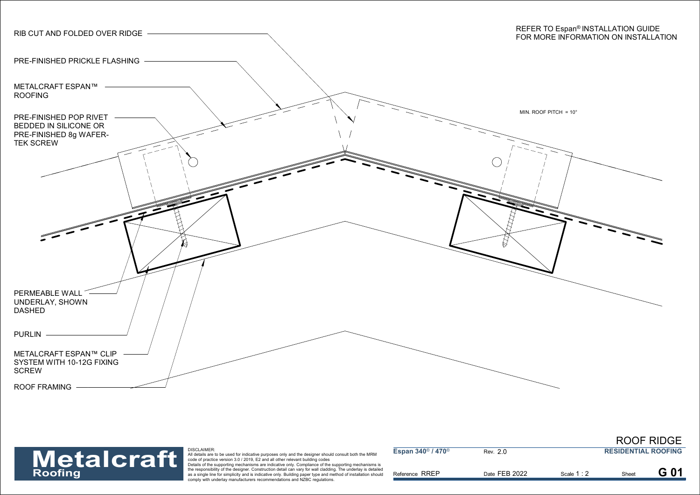



| <b>Metalcraft</b><br>Roofing | DISCLAIMER:<br>All details are to be used for indicative purposes only and the designer should consult both the MRM<br>" code of practice version 3.0 / 2019, E2 and all other relevant building codes                                                                                                                                                                                                            | Espan $340^{\circ}$ / $470^{\circ}$ | Rev. 2.0      |           | <b>RESIDENTIAL ROOFING</b> |  |
|------------------------------|-------------------------------------------------------------------------------------------------------------------------------------------------------------------------------------------------------------------------------------------------------------------------------------------------------------------------------------------------------------------------------------------------------------------|-------------------------------------|---------------|-----------|----------------------------|--|
|                              | Details of the supporting mechanisms are indicative only. Compliance of the supporting mechanisms is<br>the responsibility of the designer. Construction detail can vary for wall cladding. The underlay is detailed<br>as a single line for simplicity and is indicative only. Building paper type and method of installation should<br>comply with underlay manufacturers recommendations and NZBC regulations. | Reference RREP                      | Date FEB 2022 | Scale 1:2 | Sheet                      |  |

ROOF RIDGE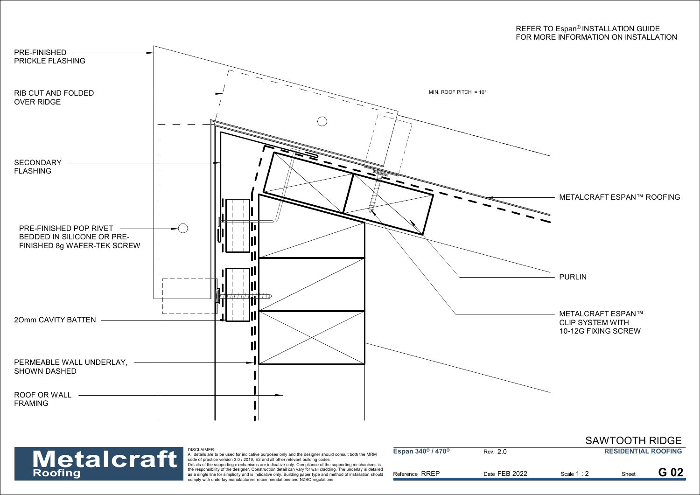



| <b>Metalcraft</b><br>Roofing | <b>DISCLAIMER:</b><br>All details are to be used for indicative purposes only and the designer should consult both the MRM<br>code of practice version 3.0 / 2019, E2 and all other relevant building codes                                                                                                                                                                                                       | Espan 340 <sup>®</sup> / 470 <sup>®</sup> | Rev. 2.0      |          | <b>RESIDENTIAL ROOFING</b> |  |
|------------------------------|-------------------------------------------------------------------------------------------------------------------------------------------------------------------------------------------------------------------------------------------------------------------------------------------------------------------------------------------------------------------------------------------------------------------|-------------------------------------------|---------------|----------|----------------------------|--|
|                              | Details of the supporting mechanisms are indicative only. Compliance of the supporting mechanisms is<br>the responsibility of the designer. Construction detail can vary for wall cladding. The underlay is detailed<br>as a single line for simplicity and is indicative only. Building paper type and method of installation should<br>comply with underlay manufacturers recommendations and NZBC regulations. | Reference RREP                            | Date FEB 2022 | Scale 1: | Sheet                      |  |

SAWTOOTH RIDGE